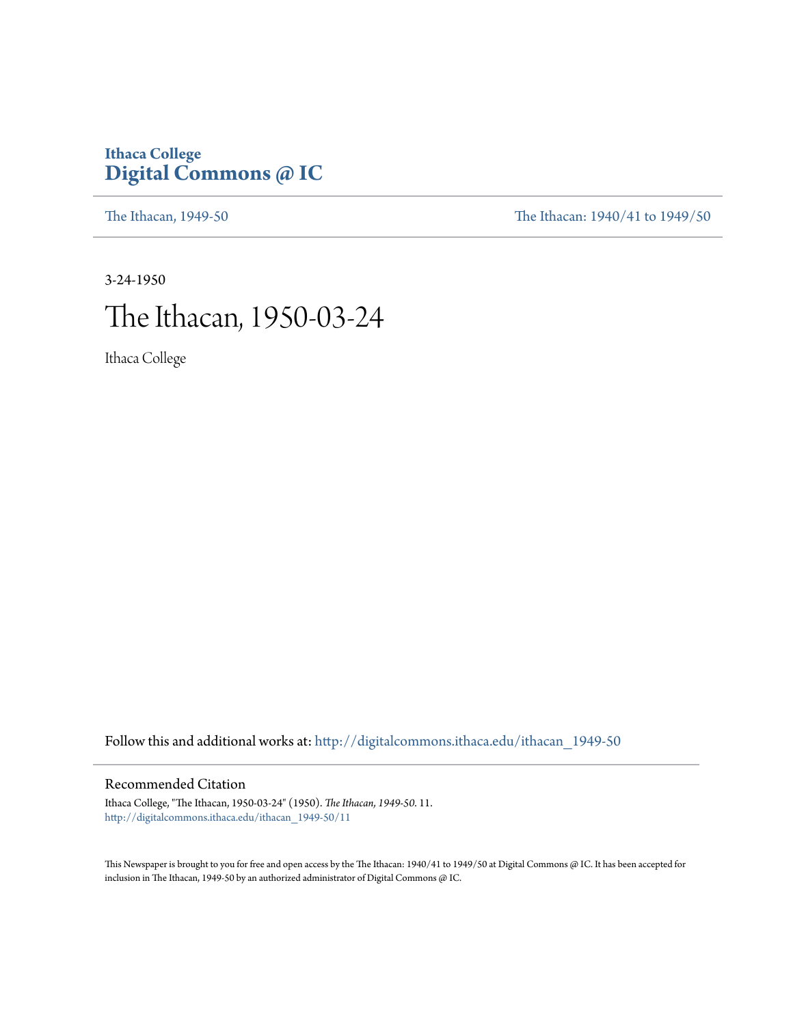## **Ithaca College [Digital Commons @ IC](http://digitalcommons.ithaca.edu?utm_source=digitalcommons.ithaca.edu%2Fithacan_1949-50%2F11&utm_medium=PDF&utm_campaign=PDFCoverPages)**

[The Ithacan, 1949-50](http://digitalcommons.ithaca.edu/ithacan_1949-50?utm_source=digitalcommons.ithaca.edu%2Fithacan_1949-50%2F11&utm_medium=PDF&utm_campaign=PDFCoverPages) [The Ithacan: 1940/41 to 1949/50](http://digitalcommons.ithaca.edu/ithacan_1940s?utm_source=digitalcommons.ithaca.edu%2Fithacan_1949-50%2F11&utm_medium=PDF&utm_campaign=PDFCoverPages)

3-24-1950 The Ithacan, 1950-03-24

Ithaca College

Follow this and additional works at: [http://digitalcommons.ithaca.edu/ithacan\\_1949-50](http://digitalcommons.ithaca.edu/ithacan_1949-50?utm_source=digitalcommons.ithaca.edu%2Fithacan_1949-50%2F11&utm_medium=PDF&utm_campaign=PDFCoverPages)

### Recommended Citation

Ithaca College, "The Ithacan, 1950-03-24" (1950). *The Ithacan, 1949-50*. 11. [http://digitalcommons.ithaca.edu/ithacan\\_1949-50/11](http://digitalcommons.ithaca.edu/ithacan_1949-50/11?utm_source=digitalcommons.ithaca.edu%2Fithacan_1949-50%2F11&utm_medium=PDF&utm_campaign=PDFCoverPages)

This Newspaper is brought to you for free and open access by the The Ithacan: 1940/41 to 1949/50 at Digital Commons @ IC. It has been accepted for inclusion in The Ithacan, 1949-50 by an authorized administrator of Digital Commons @ IC.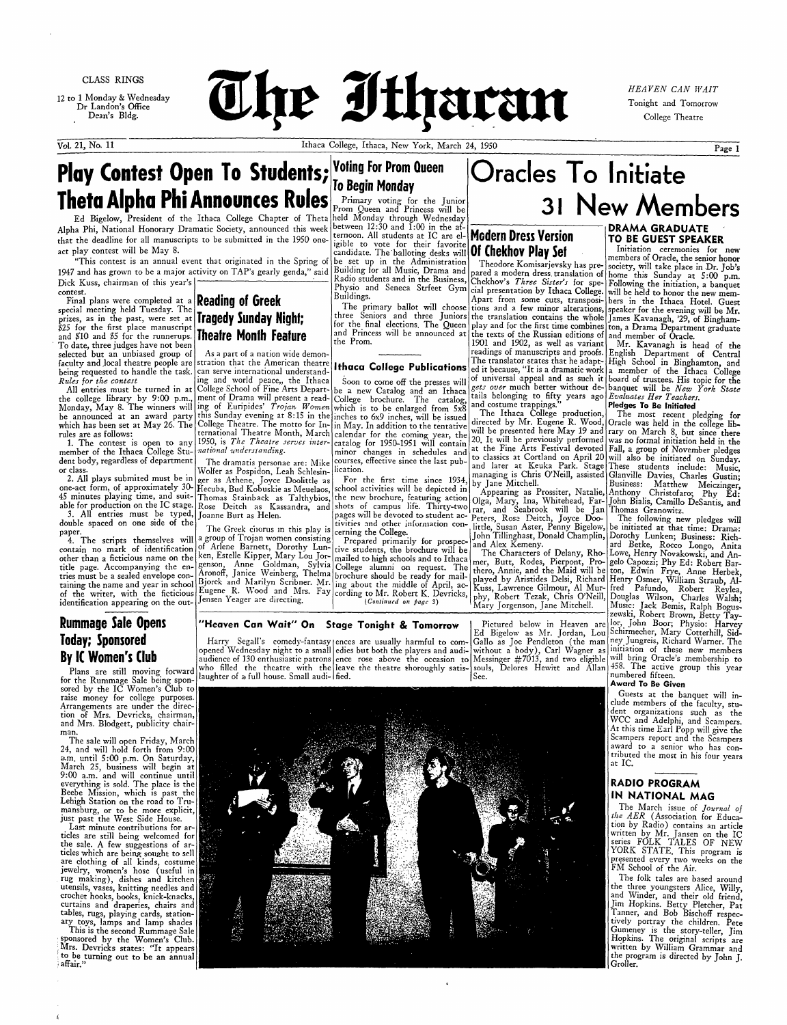CLASS RINGS

12 to 1 Monday & Wednesday Dr Landon's Office Dean's Bldg.



HEAVEN CAN WAIT Tonight and Tomorrow College Theatre

Vol. 21, No. 11

# Play Contest Open To Students; Voting For Prom Queen **Theta Alpha Phi Announces Rules**

Ed Bigelow, President of the Ithaca College Chapter of Theta Alpha Phi, National Honorary Dramatic Society, announced this week that the deadline for all manuscripts to be submitted in the 1950 oneact play contest will be May 8.

"This contest is an annual event that originated in the Spring of 1947 and has grown to be a major activity on TAP's gearly genda," said Dick Kuss, chairman of this year's contest.

Final plans were completed at a **Reading of Greek** special meeting held Tuesday. The prizes, as in the past, were set at \$25 for the first place manuscript and \$10 and \$5 for the runnerups. To date, three judges have not been selected but an unbiased group of faculty and local theatre people are being requested to handle the task. Rules for the contest

All entries must be turned in at the college library by 9:00 p.m., ment of Drama will present a read-Monday, May 8. The winners will ing of Euripides' Trojan Women be announced at an award party this Sunday evening at 8:15 in the which has been set at May 26. The rules are as follows:

1. The contest is open to any member of the Ithaca College Student body, regardless of department or class.

2. All plays submited must be in one-act form, of approximately 30- Hecuba, Bud Kobuskie as Meuelaos, able for production on the IC stage. 3. All entries must be typed,

double spaced on one side of the paper.<br>4. The scripts themselves will

contain no mark of identification other than a ficticious name on the title page. Accompanying the entries must be a sealed envelope containing the name and year in school of the writer, with the ficticious identification appearing on the out-

## **Rummage Sale Opens Today**; Sponsored By IC Women's Club

Plans are still moving forward for the Rummage Sale being spon-<br>sored by the IC Women's Club to<br>raise money for college purposes. Arrangements are under the direction of Mrs. Devricks, chairman, and Mrs. Blodgett, publicity chairman.

The sale will open Friday, March 24, and will hold forth from 9:00 a.m. until 5:00 p.m. On Saturday, March 25, business will begin at 9:00 a.m. and will continue until everything is sold. The place is the

# **To Begin Monday**

Primary voting for the Junior<br>Prom Queen and Princess will be held Monday through Wednesday between 12:30 and 1:00 in the afternoon. All students at IC are el-Modern Dress Version igible to vote for their favorite candidate. The balloting desks will **Of Chekhov Play Set** be set up in the Administration Building for all Music, Drama and Radio students and in the Business, Buildings.

The primary ballot will choose three Seniors and three Juniors for the final elections. The Queen and Princess will be announced at the Prom.

### **Ithaca College Publications**

Soon to come off the presses will be a new Catalog and an Ithaca<br>College brochure. The catalog, which is to be enlarged from 5x8 inches to 6x9 inches, will be issued in May. In addition to the tentative calendar for the coming year, the<br>catalog for 1950-1951 will contain minor changes in schedules and courses, effective since the last publication.

For the first time since 1934 school activities will be depicted in the new brochure, featuring action tivities and other information con-

cerning the College. Prepared primarily for prospective students, the brochure will be mailed to high schools and to Ithaca ing about the middle of April, ac-(Continued on page 3)

### "Heaven Can Wait" On Stage Tonight & Tomorrow

Harry Segall's comedy-fantasy ences are usually harmful to comopened Wednesday night to a small edies but both the players and audiaudience of 130 enthusiastic patrons ence rose above the occasion to Messinger #7013, and two eligible will bring Oracle's membership to who filled the theatre with the leave the theatre thoroughly satis- souls, Delores Hewitt and Allan laughter of a full house. Small audi- | fied.



# racles To Initiate 31 New Members

Chekhov's Three Sister's for spe- Following the initiation, a banquet Physio and Seneca Strfeet Gym cial presentation by Ithaca College. will be held to honor the new mem-Apart from some cuts, transposi- bers in the Ithaca Hotel. Guest tions and a few minor alterations, speaker for the evening will be Mr. the translation contains the whole James Kavanagh, '29, of Binghamplay and for the first time combines ton, a Drama Department graduate the texts of the Russian editions of and member of Oracle. 1901 and 1902, as well as variant readings of manuscripts and proofs. English Department of Central The translator states that he adapt-<br>led it because, "It is a dramatic work a member of the Ithaca College of universal appeal and as such it board of trustees. His topic for the gets over much better without de- banquet will be New York State tails belonging to fifty years ago Evaluates Her Teachers. and costume trappings.

The Ithaca College production, directed by Mr. Eugene R. Wood, Oracle was held in the college libwill be presented here May 19 and rary on March 8, but since there 20. It will be previously performed was no formal initiation held in the at the Fine Arts Festival devoted Fall, a group of November pledges to classics at Cortland on April 20 will also be initiated on Sunday. and later at Keuka Park. Stage These students include: Music, managing is Chris O'Neill, assisted<br>by Jane Mitchell.

Appearing as Prossiter, Natalie, Anthony Christofaro; Phy Ed: the new brochure, featuring action Olga, Mary, Ina, Whitehead, Far-<br>shots of campus life. Thirty-two rar, and Seabrook will be Jan pages will be devoted to student ac-peters, Rose Deitch, Joyce Doolittle, Susan Aster, Penny Bigelow, be initiated at that time: Drama:<br>John Tillinghast, Donald Champlin, Dorothy Lunken; Business: Richand Alex Kemeny.

The Characters of Delany, Rhomer, Butt, Rodes, Pierpont, Pro- gelo Capozzi; Phy Ed: Robert Barthero, Annie, and the Maid will be ton, Edwin Frye, Anne Herbek, played by Aristides Delsi, Richard Henry Osmer, William Straub, Al-<br>Kuss, Lawrence Gilmour, Al Mur- fred Pafundo, Robert Reylea, phy, Robert Tezak, Chris O'Neill, Douglas Wilson, Charles Walsh; Mary Jorgenson, Jane Mitchell.

Pictured below in Heaven are Ed Bigelow as Mr. Jordan, Lou Gallo as Joe Pendleton (the man without a body), Carl Wagner as l See.

### **DRAMA GRADUATE** TO BE GUEST SPEAKER Initiation ceremonies for new members of Oracle, the senior honor Theodore Komisarjevsky has pre-society, will take place in Dr. Job's pared a modern dress translation of home this Sunday at 5:00 p.m.

Mr. Kavanagh is head of the **Pledges To Be Initiated** 

The most recent pledging for Glanville Davies, Charles Gustin; Matthew Meiczinger, Business: John Bialis, Camillo DeSantis, and

Thomas Granowitz. The following new pledges will ard Betke, Rocco Longo, Anita Lowe, Henry Novakowski, and An-Music: Jack Bemis, Ralph Bogus-<br>zewski, Robert Brown, Betty Taylor, John Boor; Physio: Harvey Schirmecher, Mary Cotterhill, Sidney Jungreis, Richard Warner. The initiation of these new members 458. The active group this year numbered fifteen.

### Award To Be Given

Guests at the banquet will include members of the faculty, student organizations such as the WCC and Adelphi, and Scampers. At this time Earl Popp will give the Scampers report and the Scampers award to a senior who has contributed the most in his four years at IC.

### **RADIO PROGRAM**

# **Tragedy Sunday Night; Theatre Month Feature**

As a part of a nation wide demon stration that the American theatre can serve international understanding and world peace,, the Ithaca College School of Fine Arts Depart-College Theatre. The motto for International Theatre Month, March<br>1950, is The Theatre serves international understanding.

The dramatis personae are: Mike Wolfer as Pospidon, Leah Schlesinger as Athene, Joyce Doolittle as 45 minutes playing time, and suit- Thomas Stainback as Talthybios, Rose Deitch as Kassandra, and Joanne Burt as Helen.

> The Greek chorus in this play is a group of Trojan women consisting of Arlene Barnett, Dorothy Lunken, Estelle Kipper, Mary Lou Jorgenson, Anne Goldman, Sylvia College alumni on request. The Aronoff, Janice Weinberg, Thelma brochure should be ready for mail-Biorck and Marilyn Scribner. Mr. Eugene R. Wood and Mrs. Fay cording to Mr. Robert K. Devricks, Jensen Yeager are directing.

Beebe Mission, which is past the Lehigh Station on the road to Trumansburg, or to be more explicit, just past the West Side House.

Last minute contributions for articles are still being welcomed for the sale. A few suggestions of articles which are being sought to sell are clothing of all kinds, costume jewelry, women's hose (useful in rug making), dishes and kitchen utensils, vases, knitting needles and<br>crochet hooks, books, knick-knacks, curtains and draperies, chairs and tables, rugs, playing cards, stationary toys, lamps and lamp shades This is the second Rummage Sale sponsored by the Women's Club. Mrs. Devricks states: "It appears to be turning out to be an annual affair.'

### IN NATIONAL MAG

The March issue of Journal of the AER (Association for Education by Radio) contains an article written by Mr. Jansen on the IC<br>series FOLK TALES OF NEW YORK STATE. This program is presented every two weeks on the FM School of the Air.

The folk tales are based around the three youngsters Alice, Willy, and Winder, and their old friend, Jim Hopkins. Betty Pletcher, Pat Tanner, and Bob Bischoff respectively portray the children. Pete Gumeney is the story-teller, Jim<br>Hopkins. The original scripts are written by William Grammar and the program is directed by John J. Groller.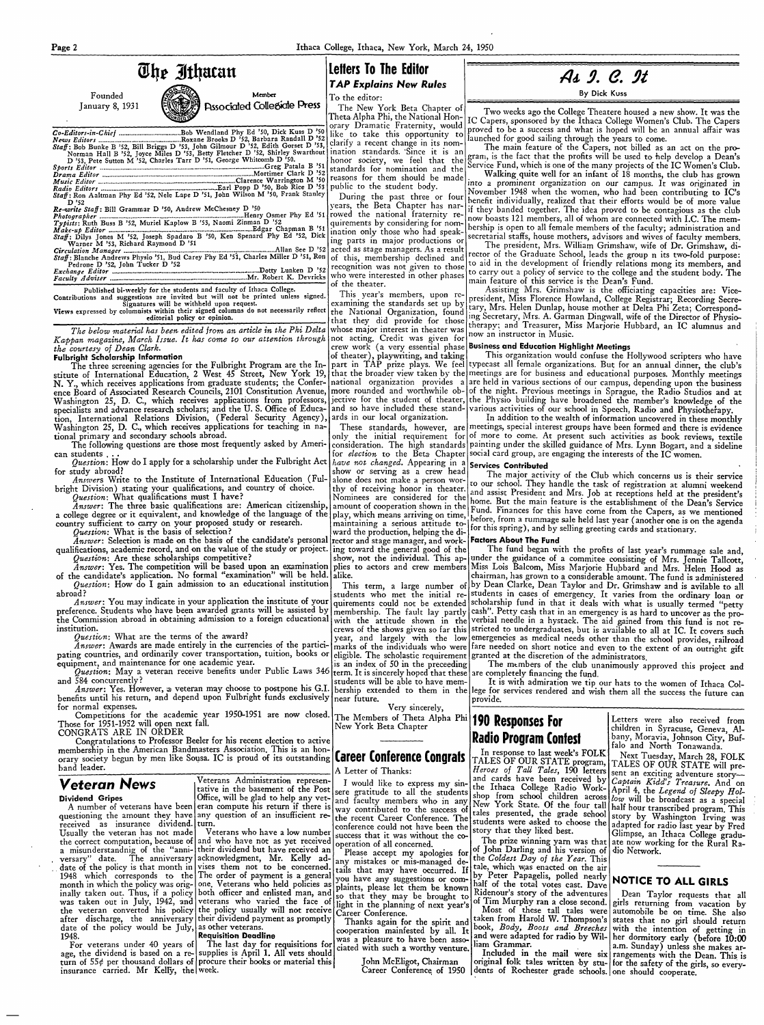

not acting. Credit was given for Kappan magazine, March Issue. It has come to our attention through the courtesy of Dean Clark.

### **Fulbright Scholarship Information**

The three screening agencies for the Fulbright Program are the Institute of International Education, 2 West 45 Street, New York 19, N. Y., which receives applications from graduate students; the Conference Board of Associated Research Councils, 2101 Constitution Avenue, Washington 25, D. C., which receives applications from professors, specialists and advance research scholars; and the U.S. Office of Education. International Relations Division, (Federal Security Agency), ards in our local organization. Washington 25, D. C., which receives applications for teaching in national primary and secondary schools abroad.

The following questions are those most frequently asked by American students

Question: How do I apply for a scholarship under the Fulbright Act for study abroad?

Answers Write to the Institute of International Education (Fulbright Division) stating your qualifications, and country of choice.

Question: What qualifications must I have? Answer: The three basic qualifications are: American citizenship, a college degree or it equivalent, and knowledge of the language of the country sufficient to carry on your proposed study or research.

Question: What is the basis of selection?

Answer: Selection is made on the basis of the candidate's personal qualifications, academic record, and on the value of the study or project. Question: Are these scholarships competitive?

Answer: Yes. The competition will be based upon an examination the candidate's application. No formal "examination" will be held. alike. of

Question: How do I gain admission to an educational institution abroad?

Answer: You may indicate in your application the institute of your preference. Students who have been awarded grants will be assisted by the Commission abroad in obtaining admission to a foreign educational institution.

Question: What are the terms of the award?

Answer: Awards are made entirely in the currencies of the particimarks of the individuals who were| pating countries, and ordinarily cover transportation, tuition, books or equipment, and maintenance for one academic year. is an index of 50 in the preceeding

Question: May a veteran receive benefits under Public Laws 346 and 584 concurrently?

Answer: Yes. However, a veteran may choose to postpone his G.I. benefits until his return, and depend upon Fulbright funds exclusively for normal expenses.

Competitions for the academic year 1950-1951 are now closed. Those for 1951-1952 will open next fall. CONGRATS ARE IN ORDER

Congratulations to Professor Beeler for his recent election to active membership in the American Bandmasters Association. This is an honorary society begun by men like Sousa. IC is proud of its outstanding **Career Conference Congrafs** band leader.

As g. C. 9t

By Dick Kuss

Two weeks ago the College Theatere housed a new show. It was the IC Capers, sponsored by the Ithaca College Women's Club. The Capers proved to be a success and what is hoped will be an annual affair was launched for good sailing through the years to come.

The main feature of the Capers, not billed as an act on the program, is the fact that the profits will be used to help develop a Dean's Service Fund, which is one of the many projects of the IC Women's Club.

Walking quite well for an infant of 18 months, the club has grown into a prominent organization on our campus. It was originated in November 1948 when the women, who had been contributing to IC's benefit individually, realized that their efforts would be of more value if they banded together. The idea proved to be contagious as the club now boasts 121 members, all of whom are connected with I.C. The membership is open to all female members of the faculty; administration and secretarial staffs, house mothers, advisors and wives of faculty members.

The president, Mrs. William Grimshaw, wife of Dr. Grimshaw, director of the Graduate School, leads the group n its two-fold purpose: to aid in the development of friendly relations mong its members, and to carry out a policy of service to the college and the student body. The main feature of this service is the Dean's Fund.

Assisting Mrs. Grimshaw is the officiating capacities are: Vicepresident, Miss Florence Howland, College Registrar; Recording Secreing Secretary, Mrs. A. Garman Dingwall, wife of the Director of Physiotherapy; and Treasurer, Miss Marjorie Hubbard, an IC alumnus and now an instructor in Music.

### crew work (a very essential phase Business and Education Highlight Meetings

of theater), playwriting, and taking This organization would confuse the Hollywood scripters who have part in TAP prize plays. We feel typecast all female organizations. But for an annual dinner, the club's that the broader view taken by the meetings are for business and educational purposes. Monthly meetings national organization provides a are held in various sections of our campus, depending upon the business more rounded and worthwhile ob- of the night. Previous meetings in Sprague, the Radio Studios and at jective for the student of theater, the Physio building have broadened the member's knowledge of the and so have included these stand- various activities of our school in Speech, Radio and Physiotherapy.

In addition to the wealth of information uncovered in these monthly These standards, however, are meetings, special interest groups have been formed and there is evidence only the initial requirement for of more to come. At present such activities as book reviews, textile consideration. The high standards painting under the skilled guidance of Mrs. Lynn Bogart, and a sideline for *election* to the Beta Chapter social card group, are engaging the interests of the IC women.

## have not changed. Appearing in a Services Contributed

The major activity of the Club which concerns us is their service to our school. They handle the task of registration at alumni weekend and assist President and Mrs. Job at receptions held at the president's home. But the main feature is the establishment of the Dean's Service Fund. Finances for this have come from the Capers, as we mentioned before, from a rummage sale held last year (another one is on the agenda for this spring), and by selling greeting cards and stationary.

### **Factors About The Fund**

The fund began with the profits of last year's rummage sale and, under the guidance of a commitee consisting of Mrs. Jennie Tallcott, Miss Lois Balcom, Miss Marjorie Hubbard and Mrs. Helen Hood as chairman, has grown to a considerable amount. The fund is administered by Dean Clarke, Dean Taylor and Dr. Grimshaw and is avilable to all students in cases of emergency. It varies from the ordinary loan or quirements could not be extended scholarship fund in that it deals with what is usually termed "petty membership. The fault lay partly cash". Petty cash that in an emergency is as hard to uncover as the proverbial needle in a hystack. The aid gained from this fund is not restricted to undergraduates, but is available to all at IC. It covers such year, and largely with the low emergencies as medical needs other than the school provides, railroad fare needed on short notice and even to the extent of an outright gift eligible. The scholastic requirement granted at the discretion of the administrators.

The members of the club unanimously approved this project and are completely financing the fund.

It is with admiration we tip our hats to the women of Ithaca Colbership extended to them in the lege for services rendered and wish them all the success the future can provide.

# 190 Responses For Radio Program Confest

In response to last week's FOLK TALES OF OUR STATE program, TALES OF OUR STATE will pre-Heroes of Tall Tales, 190 letters sent an exciting adventure story-<br>and cards have been received by Captain Kidd's Treasure. And o

Letters were also received from children in Syracuse, Geneva, Albany, Moravia, Johnson City, Buffalo and North Tonawanda.

Next Tuesday, March 28, FOLK

A Letter of Thanks:

show or serving as a crew head

alone does not make a person wor-

thy of receiving honor in theater.

Nominees are considered for the|

amount of cooperation shown in the|

play, which means arriving on time,

maintaining a serious attitude to-

ward the production, helping the di-

rector and stage manager, and work-

ing toward the general good of the

show, not the individual. This ap-

plies to actors and crew members

This term, a large number of

students who met the initial re-

with the attitude shown in the

crews of the shows given so far this

term. It is sincerely hoped that these

students will be able to have memnear future.

Very sincerely, The Members of Theta Alpha Phi New York Beta Chapter

| Veteran News                                                                                         | Veterans Administration represen-     | I would like to express my sin-                                                                      |                                                                                   | and cards have been received by <i>Captain Kidd's Treasure</i> . And on                                                                                                                      |
|------------------------------------------------------------------------------------------------------|---------------------------------------|------------------------------------------------------------------------------------------------------|-----------------------------------------------------------------------------------|----------------------------------------------------------------------------------------------------------------------------------------------------------------------------------------------|
|                                                                                                      |                                       |                                                                                                      |                                                                                   | the Ithaca College Radio Work- April 4, the Legend of Sleepy Hol-                                                                                                                            |
| Dividend Gripes                                                                                      | Office, will be glad to help any vet- |                                                                                                      |                                                                                   | tative in the basement of the Post sere gratitude to all the students shop from school children across low will be broadcast as a special                                                    |
|                                                                                                      |                                       | A number of veterans have been eran compute his return if there is way contributed to the success of |                                                                                   | and faculty members who in any New York State. Of the four tall half hour transcribed program. This                                                                                          |
| questioning the amount they have any question of an insufficient re-                                 |                                       |                                                                                                      |                                                                                   | tales presented, the grade school story by Washington Irving was                                                                                                                             |
| received as insurance dividend. turn.                                                                |                                       |                                                                                                      |                                                                                   | the recent Career Conference. The students were asked to choose the adapted for radio last year by Fred                                                                                      |
| Usually the veteran has not made   Veterans who have a low number                                    |                                       |                                                                                                      |                                                                                   | conference could not have been the story that they liked best. [Glimpse, an Ithaca College gradu-                                                                                            |
| the correct computation, because of and who have not as yet received operation of all concerned.     |                                       |                                                                                                      |                                                                                   | The prize winning yarn was that ate now working for the Rural Ra-                                                                                                                            |
| a misunderstandnig of the "anni- their dividend but have received an                                 |                                       | Please accept my apologies for                                                                       | of John Darling and his version of dio Network.                                   |                                                                                                                                                                                              |
| versary" date. The anniversary acknowledgment, Mr. Kelly ad-                                         |                                       | any mistakes or mis-managed de-                                                                      | the Coldest Day of the Year. This                                                 |                                                                                                                                                                                              |
| date of the policy is that month in vises them not to be concerned. tails that may have occurred. If |                                       |                                                                                                      | tale, which was enacted on the air                                                |                                                                                                                                                                                              |
| 1948 which corresponds to the The order of payment is a general                                      |                                       | you have any suggestions or com-                                                                     | by Peter Papagelis, polled nearly NOTICE TO ALL GIRLS                             |                                                                                                                                                                                              |
| month in which the policy was orig- one. Veterans who held policies as                               |                                       | plaints, please let them be known                                                                    |                                                                                   |                                                                                                                                                                                              |
| inally taken out. Thus, if a policy both officer and enlisted man, and                               |                                       | so that they may be brought to                                                                       |                                                                                   | Ridenour's story of the adventures   Dean Taylor requests that all                                                                                                                           |
| was taken out in July, 1942, and veterans who varied the face of                                     |                                       |                                                                                                      |                                                                                   | light in the planning of next year's of Tim Murphy ran a close second. girls returning from vacation by                                                                                      |
| the veteran converted his policy the policy usually will not receive Career Conference.              |                                       |                                                                                                      |                                                                                   | Most of these tall tales were automobile be on time. She also                                                                                                                                |
| after discharge, the anniversary their dividend payment as promptly                                  |                                       | Thanks again for the spirit and                                                                      |                                                                                   | taken from Harold W. Thompson's states that no girl should return                                                                                                                            |
| date of the policy would be July, as other veterans.                                                 |                                       | cooperation mainfested by all. It                                                                    |                                                                                   | book, Body, Boots and Breeches with the intention of getting in                                                                                                                              |
| 1948. <b>Requisition Deadline</b>                                                                    |                                       |                                                                                                      |                                                                                   | and were adapted for radio by Wil-   her dormitory early (before 10:00                                                                                                                       |
| For veterans under 40 years of   The last day for requisitions for                                   |                                       |                                                                                                      |                                                                                   | was a pleasure to have been asso-<br>all liam Grammar.<br>Included in the mail were six rangements with the Dean. This is<br>included in the mail were six rangements with the Dean. This is |
| age, the dividend is based on a re- supplies is April 1. All vets should                             |                                       |                                                                                                      |                                                                                   |                                                                                                                                                                                              |
| turn of $55¢$ per thousand dollars of procure their books or material this                           |                                       | John McEligot, Chairman                                                                              |                                                                                   | original folk tales written by stu- for the safety of the girls, so every-                                                                                                                   |
| insurance carried. Mr Kelly, the week.                                                               |                                       |                                                                                                      | Career Conference of 1950 dents of Rochester grade schools. one should cooperate. |                                                                                                                                                                                              |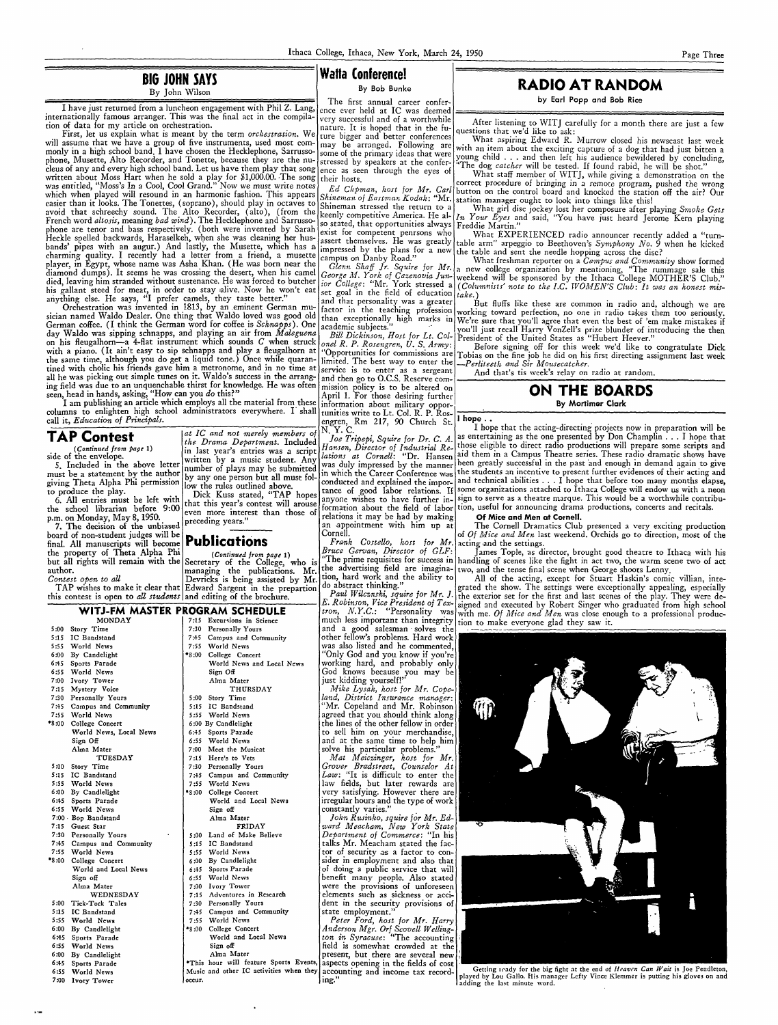### **BIG JOHN SAYS**  By John Wilson

## **Watta Conference!**

I have just returned from a luncheon engagement with Phil Z. Lang, ence ever held at IC was deemed internationally famous arranger. This was the final act in the compila- very successful and of a worthwhile internationally ramous arranger. This was the final act m the compila- very successful and of a worthwhile After listening to WITJ carefully for a month there are just a few

of data for my article on orchestration.<br>First, let us explain what is meant by the term *orchestration*. We ture bigger and better conferences what askiing Folly and R will assume that we have a group of five instruments, used most com- may be arranged. Following are monly in a high school band. I have chosen the Hecklephone, Sarrusso- some of the primary ideas that were monly in a high school band. I have chosen the Hecklephone, Sarrusso- some of the primary ideas that were vigoung child ... and then left his audience bewildered by concluding, phone, Musette, Alto Recorder, and Tonette, b phone, Musette, The Recorder, and Tonette, because they are the nu-stressed by speakers at the confer-<br>cleus of any and every high school band. Let us have them play that song ence as seen through the eyes of What stoff me written about Moss Hart when he sold a play for  $\mu_1$ ,  $\mu_2$ ,  $\mu_3$  are expected to the control of the string a distribution on the sold fraction of the strain and the string in a remote program, post for Mr. Carl butt was entitled, "Moss's In a Cool, Cool Grand." Now we must write notes *Ed Chpman, host for Mr. Carl* button on the control board and knocked the station off the air? Our ensigned will resound in an harmonic fashion. This a easier than it looks. The Tonettes, (soppano), should play in octaves to Shineman stressed the return to a What girl disc jockey lost her composure after playing *Smoke Gets* avoid that schreechy sound. The Alto Recorder, (alto), (from the keenly competitive America. He al-  $I_n$  Your Eyes and Sarrussocial Sarrussocial steadall and  $I_n$  Your Eyes and Sarrussocial Sarrussocial steadall and the H French word altosis, meaning bad wind). The Hecklephone and Sarrusso-<br>phone are tenor and bass respectively. (both were invented by Sarah exist for competent penrsons who What EXPERIENCED radio announcer recently added a " bands' pipes with an augur.) And lastly, the Musette, which has a impressed by the plans for a new the table and sent the needle hopping across the disc?<br>charming quality. I recently had a letter from a friend, a musette c charming quality. I recently had a letter from a friend, a musette campus on Danby Road." What freshman reporter on a *Cmnpus and Community* show formed player, in Egypt, whose name was Asha Khan. (He was born near the *Glenn Shaff Jr. Squire for Mr.* a new college organization by mentioning, "The rummage sale this died, leaving him stranded without sustenance. He was forc his gallant steed for meat, in order to stay alive. Now he won't eat set goal in the field of education anything else. He says, "I prefer camels, they taste better." and that personality was a greater

day Waldo was sipping schnapps, and playing an air from *Maleguena* Bill Dickinson, Host for Lt. Col-<sup>1</sup> President of the United States as "Hubert Heever." day Waldo was sipping schnapps, and playing an air from *Maleguena* Bill Dickinson, Host for Lt. Col- President of the United States as "Hubert Heever."<br>on his fleugalhorn-a 4-flat instrument which sounds *C* when struck o the same time, although you do get a liquid tone.) Once while quaran- limited. The best way to enter the *-Perliteeth and Sir Mousecatcher*. tined with cholic his friends gave him a metronome, and in no time at service is to enter as a sergeant  $\frac{m}{\sqrt{2}}$  and that's tis week's relay on radio at random. ing field was due to an unquenchable thirst for knowledge. He was often mission policy is to be altered on seen, head in hands, asking, "How can you do this?"

seen, head in hands, asking, "How can you *do* this?" . April 1. For those desiring further . **April 1. For those desiring further** . Applied to the extent of the set of the set of the set of the set of the set of the set I am publishing an article which employs all the material from these information about military oppor-<br>mns to enlighten high school administrators everywhere. I shall tunities write to Lt. Col. R. P. Ros columns to enlighten high school administrators everywhere. I shall call it, *Education of Principals.*<br>
at IC and not merely members of N.Y. C.<br>
at IC and not merely members of N.Y. C.

The first annual career confer-<br>ence ever held at IC was deemed

Service is to enter as a sergeant and then go to O.C.S. Reserve com-<br>and then go to O.C.S. Reserve com-<br>mission policy is to be altered on **CON THE BOARDS** 

giving Theta Alpha Phi permission

 $p.m.$  on Monday, May 8, 1950.

7. The decision of the unbiased the property of Theta Alpha Phi (*Continued from page* 1)<br>but all rights will remain with the Secretary of the College, who is

even more interest than those of relations it may be had by making **Of Mice and Men at Cornell.**<br> **preceding years.**"

managing the publications. Mr.

the school librarian before 9:00 even more interest than those of collection about the field of labor tion, useful for announcing drama productions, concerts and recitals.

5:15 IC Bandstand 17:45 Campus and Community | other fellow's problems. Hard work 5:55 World News 7:55 World News 7:55 World News was also listed and he commented,<br>6:00 By Candelight 48:00 College Concert 4.60 World May God and you know if you're 6:00 By Candelight **•S:00 College Concert** (Only God and you know if you're world News and Local News (Working hard, and probably only working hard, and probably only 6:55 World News (6:55 World News) Sign Off (56 Sign Off (56 Sign Off Sign Off Sign Off Sign Off Sign Off Sign Off Sign Off Sign Off Sign Off Sign Off Sign Off Sign Off Sign Off Sign Off Sign Off Sign Off Sign Off Sign Off

Ivory Tower **Alma Mater** and intervalse in the line of the line of the Mike Lysak, host for the metal of the THURSDAY and Mike Lysak, host for the metal of the metal of the metal of the metal of the metal of the metal of t 7:15 Mystery Voice **and American Contract Property** THURSDAY *Mike Lysak, host for Mr. Cope-*7:30 Personally Yours 5:00 Story Time *land, District Insurance manager:*  7:45 Campus and Community 5:15 IC Bandstand "Mr. Copeland and Mr. Robinson 7:55 World News 5:55 World News agreed that you should think along •s :00 College Concert 6 :00 By Candlelight the lines of the other fellow in order World News, Local News 6:45 Sports Parade to sell him on your merchandise, Sign Off **6:55** World News and at the same time to help him Alma Mater 1988 7:00 Meet the Musicat solve his particular problems.<br>THESDAY 7:15 Here's to Vets 1988 Mat. Meicringer, host for

by Earl Popp and Bob Rice

fure bigger and better conferences What aspiring Edward R. Murrow closed his newscast last week<br>may be arranged. Following are with an item about the exciting conture of a doubled hed just little reset

ence as seen through the eyes of What staff member of WITJ, while giving a demonstration on the their hosts.

*ir Eyes* and said, "You have just heard Jerome Kern playing

assert themselves. He was greatly table arm" arpeggio to Beethoven's *Symphony No.* 9 when he kicked<br>impressed by the plans for a new the table and sent the needle honning across the disc?

player, in Egypt, whose name was Asha Khan. (He was born near the *Glenn Shaff Jr. Squire for Mr.)* a new college organization by mentioning, "The rummage sale this diamond dumps). It seems he was crossing the desert, when his camel *George M. York of Cazenovia Jun*- weekend will be sponsored by the Ithaca College MOTHER'S Club."

anything else. He says, "I prefer camels, they taste better." and that personality was a greater But fluffs like these are common in radio and, although we are common was invented in 1813, by an eminent German mu-lead in Orchestration was invented in 1813, by an eminent German mu- factor in the teaching profession working toward perfection, no one in radio takes them too seriously. sician named Waldo Dealer. One thing that Waldo loved was good old than exceptionally high marks in We're sure that you'll agree that you'll agree that you'll agree that you'll agree that you'll agree that we're sure the German coffee. (I think the German word for coffee is *Schnapps*). One academic subjects." vou'll just recall Harry VonZell's prize blunder of introducing the then

"Opportunities for commissions are Tobias on the fine job he did on his first directing assignment last week<br>limited. The best way to enter the *Perliteeth and Sir Mousecatcher* 



1 **h**  .  $\vert$  1 hc

I hope that the acting-directing projects now in preparation will be **TAP Contest**<br>
(Continued from page 1)<br>
il and not merely members of  $\begin{bmatrix} at & 1G & and & not & merely & member \end{bmatrix}$  are for Dr. C. A.<br>
il and not merely members of  $\begin{bmatrix} 1 & 1 & 1 & 1 \\ 1 & 1 & 1 & 1 \\ 1 & 1 & 1 & 1 \end{bmatrix}$ <br>
il ant technique Drama De by any one person put all must fol- conducted and explained the impor- and technical abilities ... I hope that before too many months elapse, low the rules outlined above. to produce the play.<br>The Music The Rules Stated, "TAP hopes anyone wishes to baye further in sign to serve as a theatre marque. This would be a worthwhile contribu-6. All entries must be left with  $\begin{bmatrix} \text{DICK} \\ \text{NUS} \end{bmatrix}$  to produce the plany one wishes to have further in- sign to serve as a theatre marque. This would be a worthwhile contribu-<br>In the plane of the plane of the pla

m. on Monday, May 6, 1950.<br>
7. The decision of the unbiased preceding years."<br>
and of non-student judges will be **not all the conduction**<br>
Cornell.<br>
Cornell.<br>
Cornell.<br>
Cornell.<br>
Cornell.<br>
Cornell.<br>
Cornell.<br>
Cornell.<br>
Co board of non-student judges will be **Publications** *Frank Costello, host for Mr.* acting .ind the settings. . .

final term indicate the anti-term of Theta Alpha Phi (Continued from page 1) Bruce Gervan, Director of GLF: James Tople, as director, brought good theatre to Ithaca with his but all rights will remain with the Secretary of the College, who is "The prime requisites for success in handling of scenes like the fight in act two, the warm scene two of act<br>author.<br>Contest open to all<br>TAP wishes to ma

All of the acting, except for Stuart Haskin's comic villian, inte-TAP wishes to make it clear that Edward Sargent in the prepartion do abstract thinking." Jerated the show. The settings were exceptionally appealing, especially TAP wishes to make it clear that Euward Bargent in the prepartion *Paul Wilcznski, squire for Mr. J.* the exterior set for the first and last scenes of the play. They were detest is open to *all students* and editing of the prochare.<br> *E. Robinson, Vice President* of Tex-<br>
signed and executed by Robert Singer who graduated from high school<br> *tron, N.Y.C.*: "Personality was with me Of Mice and **TJ-FM MASTER PROGRAM SCHEDULE** *<i>tron, N.Y.C.*: "Personality was with me. Of Mice and Men was close enough to a professional produc-<br>MONDAY [7:15 Excursions in Science much less important than integrity tion to make ever MONDAY 7:15 Excursions in Science much less important than integrity tion to make everyone glad they saw it.<br>1999 Story Time 7:30 Personally Yours and a good salesman solves the context of the context of the context of the



6:55 World News<br>7:00 Ivory Tower

6:55 World News  $\int$  Sign off constantly varies." <sup>5:15</sup> IC Bandstand **7:45** Campus and Community state employment.'<br>5:55 World News 7:55 World News *Peter Ford. host* 

played by Lou Gallo. His manager Lefty Vince Klemmer is putting his gloves on and ladding the last minute word.

TUESDAY 7:15 Here's to Vets *iv/at Meiczinger, host for Mr.*  5:00 Story Time 7:30 Personally Yours *Grover Bradstreet, Counselor At <sup>5</sup>*:15 IC Bandstand 7 :45 Campus and Community *Law:* "It is difficult to enter the 5:55 World News | 7:55 World News | 1:55 World News | law fields, but later rewards are 6:00 By Candlelight •8:00 College Concert very satisfying. However there are 6:45 Sports Parade | World and Local News |irregular hours and the type of work 7:00 Bop Bandstand Alma Mater *John Rusinko, squire for Mr. Ed-*7:15 Guest Star **FRIDAY** *ward Meacham, New York State* 7:30 Personally Yours **1989 1989 1989 1989 1989 1989 1989 1989 1989 1989 1989 1989 1989 1989 1989 1989 1989 1989 1989 1989 1** 7:30 Personally Yours 1.5:00 Land of Make Believe *Department of Commerce*: "In his<br>7:45 Campus and Community 1.15 IC Bandstand 1.5 and talks Mr. Meacham stated the factalks Mr. Meacham stated the fac-7:55 World News 5:55 World News 5:55 World News (tor of security as a factor to con-<br>Sider in employment and also that 6:00 By Candlelight sider in employment and also that College Concert 6:00 By Candlelight sider in employment and also that World and Local News 6:45 Sports Parade 6:45 Sports Parade of doing a public service that will<br>6:55 World News benefit many people. Also stated Sign off 6:55 World News benefit many people. Also stated Alma Mater 7:00 Ivory Tower were the provisions of unforeseen<br>WEDNESDAY 7:15 Adventures in Research elements such as sickness or acci-7:15 Adventures in Research elements such as sickness or acci-<br>7:30 Personally Yours dent in the security provisions of 5:00 Tick-Tock Tales | 7:30 Personally Yours | dent in the security provisions of <sup>5:55</sup> World News 7:55 World News 7:55 World News *Peter Ford, host for Mr. Harry* 6:00 By Candlelight **18:00** College Concert *Anderson Mgr. Orf Scovell Welling*-6 :00 By Candlelight •s :00 College Concert *Anderson Mgr. Orf Scovell Welling-*6:45 Sports Parade World and Local News *ton in Syrac1tse:* "The accounting ' 6:55 World News Sign off Sign off field is somewhat crowded at the 6:00 By Candlelight (6:00 By Candlelight (6:00 By Candlelight) 6:00 By Candlelight Alma Mater | Alma Mater | present, but there are several new | 1645 Cost | 1645 Cost | 1646 Cost | 1646 Cost | 1646 Cost | 1646 Cost | 1646 Cost | 1646 Cost | 1646 Cost | 1646 Cost | 1646 Cost | 1646 Co 6:45 Sports Parade • <sup>•</sup>This hour will feature Sports Events, aspects opening in the fields of cost **Getting irady for the big fight at the end of** *Heaven Can Wait* **is Joe Pendleton**, Music and other IC activities when they accounting and income tax record- pocur.

## By Bob Bunke **RADIO AT RANDOM**